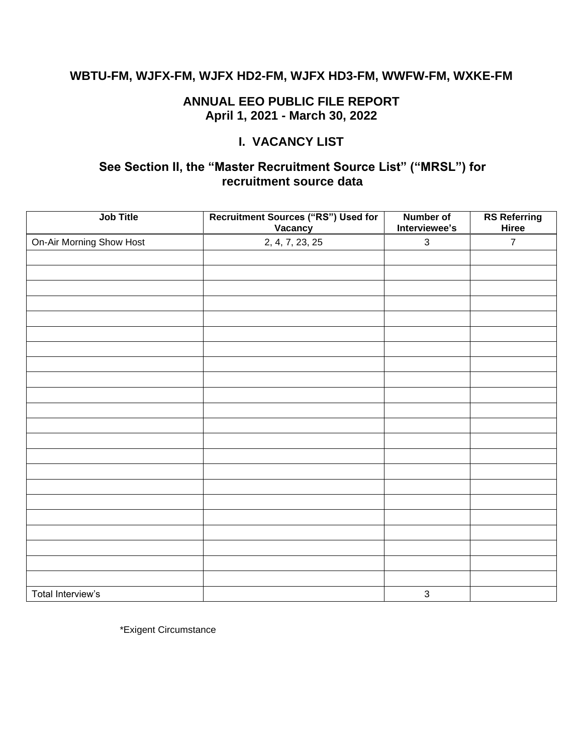### **WBTU-FM, WJFX-FM, WJFX HD2-FM, WJFX HD3-FM, WWFW-FM, WXKE-FM**

### **ANNUAL EEO PUBLIC FILE REPORT April 1, 2021 - March 30, 2022**

### **I. VACANCY LIST**

### **See Section II, the "Master Recruitment Source List" ("MRSL") for recruitment source data**

| Job Title                | <b>Recruitment Sources ("RS") Used for</b><br>Vacancy | <b>Number of</b><br>Interviewee's | <b>RS Referring</b><br>Hiree |
|--------------------------|-------------------------------------------------------|-----------------------------------|------------------------------|
| On-Air Morning Show Host | 2, 4, 7, 23, 25                                       | $\ensuremath{\mathsf{3}}$         | $\overline{7}$               |
|                          |                                                       |                                   |                              |
|                          |                                                       |                                   |                              |
|                          |                                                       |                                   |                              |
|                          |                                                       |                                   |                              |
|                          |                                                       |                                   |                              |
|                          |                                                       |                                   |                              |
|                          |                                                       |                                   |                              |
|                          |                                                       |                                   |                              |
|                          |                                                       |                                   |                              |
|                          |                                                       |                                   |                              |
|                          |                                                       |                                   |                              |
|                          |                                                       |                                   |                              |
|                          |                                                       |                                   |                              |
|                          |                                                       |                                   |                              |
|                          |                                                       |                                   |                              |
|                          |                                                       |                                   |                              |
|                          |                                                       |                                   |                              |
|                          |                                                       |                                   |                              |
|                          |                                                       |                                   |                              |
|                          |                                                       |                                   |                              |
|                          |                                                       |                                   |                              |
|                          |                                                       |                                   |                              |
| Total Interview's        |                                                       | $\mathsf 3$                       |                              |

\*Exigent Circumstance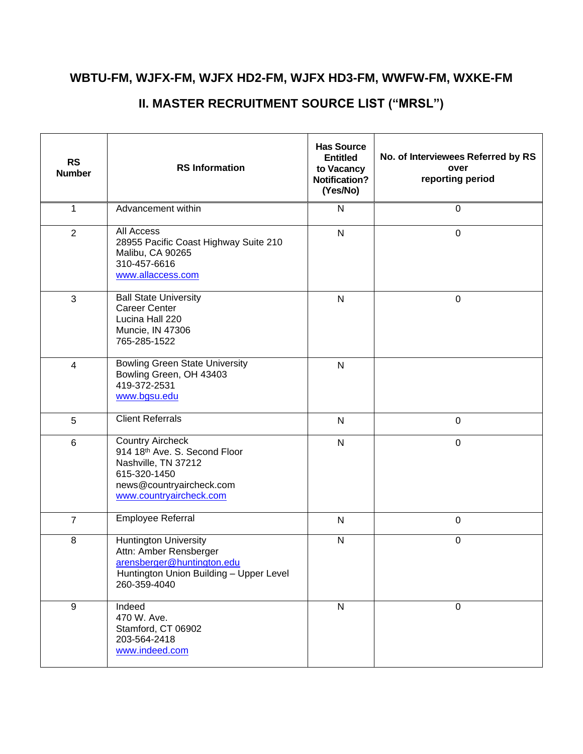### **WBTU-FM, WJFX-FM, WJFX HD2-FM, WJFX HD3-FM, WWFW-FM, WXKE-FM**

#### **RS**<br>Number **RS Information Has Source Entitled to Vacancy Notification? (Yes/No) No. of Interviewees Referred by RS over reporting period** 1 Advancement within N N 0 2 All Access 28955 Pacific Coast Highway Suite 210 Malibu, CA 90265 310-457-6616 [www.allaccess.com](http://www.allaccess.com/) N 0 3 Ball State University Career Center Lucina Hall 220 Muncie, IN 47306 765-285-1522 N 0 4 Bowling Green State University Bowling Green, OH 43403 419-372-2531 [www.bgsu.edu](http://www.bgsu.edu/) N 5 Client Referrals N N 0 6 Country Aircheck 914 18th Ave. S. Second Floor Nashville, TN 37212 615-320-1450 news@countryaircheck.com [www.countryaircheck.com](http://www.countryaircheck.com/) N 0 7 | Employee Referral N N | 0 8 | Huntington University Attn: Amber Rensberger [arensberger@huntington.edu](mailto:arensberger@huntington.edu) Huntington Union Building – Upper Level 260-359-4040 N 0 9 Indeed 470 W. Ave. Stamford, CT 06902 203-564-2418 [www.indeed.com](http://www.indeed.com/) N 0

### **II. MASTER RECRUITMENT SOURCE LIST ("MRSL")**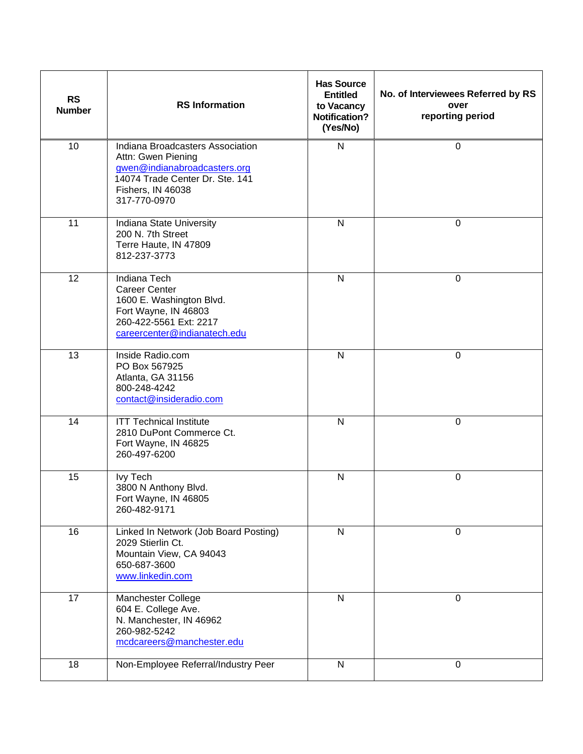| <b>RS</b><br><b>Number</b> | <b>RS Information</b>                                                                                                                                          | <b>Has Source</b><br><b>Entitled</b><br>to Vacancy<br><b>Notification?</b><br>(Yes/No) | No. of Interviewees Referred by RS<br>over<br>reporting period |
|----------------------------|----------------------------------------------------------------------------------------------------------------------------------------------------------------|----------------------------------------------------------------------------------------|----------------------------------------------------------------|
| 10                         | Indiana Broadcasters Association<br>Attn: Gwen Piening<br>gwen@indianabroadcasters.org<br>14074 Trade Center Dr. Ste. 141<br>Fishers, IN 46038<br>317-770-0970 | ${\sf N}$                                                                              | 0                                                              |
| 11                         | Indiana State University<br>200 N. 7th Street<br>Terre Haute, IN 47809<br>812-237-3773                                                                         | $\mathsf{N}$                                                                           | $\mathbf 0$                                                    |
| 12                         | <b>Indiana Tech</b><br><b>Career Center</b><br>1600 E. Washington Blvd.<br>Fort Wayne, IN 46803<br>260-422-5561 Ext: 2217<br>careercenter@indianatech.edu      | $\mathsf{N}$                                                                           | $\mathbf 0$                                                    |
| 13                         | Inside Radio.com<br>PO Box 567925<br>Atlanta, GA 31156<br>800-248-4242<br>contact@insideradio.com                                                              | $\mathsf{N}$                                                                           | $\mathbf 0$                                                    |
| $\overline{14}$            | <b>ITT Technical Institute</b><br>2810 DuPont Commerce Ct.<br>Fort Wayne, IN 46825<br>260-497-6200                                                             | $\mathsf{N}$                                                                           | $\mathbf 0$                                                    |
| 15                         | <b>Ivy Tech</b><br>3800 N Anthony Blvd.<br>Fort Wayne, IN 46805<br>260-482-9171                                                                                | ${\sf N}$                                                                              | $\boldsymbol{0}$                                               |
| 16                         | Linked In Network (Job Board Posting)<br>2029 Stierlin Ct.<br>Mountain View, CA 94043<br>650-687-3600<br>www.linkedin.com                                      | $\mathsf{N}$                                                                           | 0                                                              |
| 17                         | Manchester College<br>604 E. College Ave.<br>N. Manchester, IN 46962<br>260-982-5242<br>mcdcareers@manchester.edu                                              | $\mathsf{N}$                                                                           | $\mathbf 0$                                                    |
| 18                         | Non-Employee Referral/Industry Peer                                                                                                                            | ${\sf N}$                                                                              | $\mathbf 0$                                                    |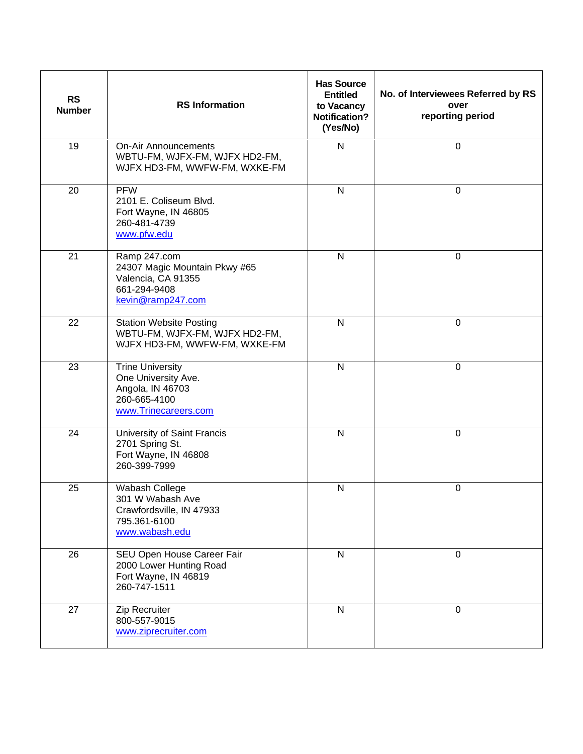| <b>RS</b><br><b>Number</b> | <b>RS</b> Information                                                                                      | <b>Has Source</b><br><b>Entitled</b><br>to Vacancy<br><b>Notification?</b><br>(Yes/No) | No. of Interviewees Referred by RS<br>over<br>reporting period |
|----------------------------|------------------------------------------------------------------------------------------------------------|----------------------------------------------------------------------------------------|----------------------------------------------------------------|
| 19                         | <b>On-Air Announcements</b><br>WBTU-FM, WJFX-FM, WJFX HD2-FM,<br>WJFX HD3-FM, WWFW-FM, WXKE-FM             | $\mathsf{N}$                                                                           | 0                                                              |
| 20                         | <b>PFW</b><br>2101 E. Coliseum Blvd.<br>Fort Wayne, IN 46805<br>260-481-4739<br>www.pfw.edu                | $\mathsf{N}$                                                                           | $\mathbf 0$                                                    |
| 21                         | Ramp 247.com<br>24307 Magic Mountain Pkwy #65<br>Valencia, CA 91355<br>661-294-9408<br>kevin@ramp247.com   | $\mathsf{N}$                                                                           | 0                                                              |
| 22                         | <b>Station Website Posting</b><br>WBTU-FM, WJFX-FM, WJFX HD2-FM,<br>WJFX HD3-FM, WWFW-FM, WXKE-FM          | $\mathsf{N}$                                                                           | $\pmb{0}$                                                      |
| 23                         | <b>Trine University</b><br>One University Ave.<br>Angola, IN 46703<br>260-665-4100<br>www.Trinecareers.com | $\mathsf{N}$                                                                           | 0                                                              |
| 24                         | University of Saint Francis<br>2701 Spring St.<br>Fort Wayne, IN 46808<br>260-399-7999                     | $\mathsf{N}$                                                                           | $\mathbf 0$                                                    |
| 25                         | Wabash College<br>301 W Wabash Ave<br>Crawfordsville, IN 47933<br>795.361-6100<br>www.wabash.edu           | $\mathsf{N}$                                                                           | 0                                                              |
| $\overline{26}$            | <b>SEU Open House Career Fair</b><br>2000 Lower Hunting Road<br>Fort Wayne, IN 46819<br>260-747-1511       | $\overline{\mathsf{N}}$                                                                | 0                                                              |
| 27                         | Zip Recruiter<br>800-557-9015<br>www.ziprecruiter.com                                                      | ${\sf N}$                                                                              | $\mathbf 0$                                                    |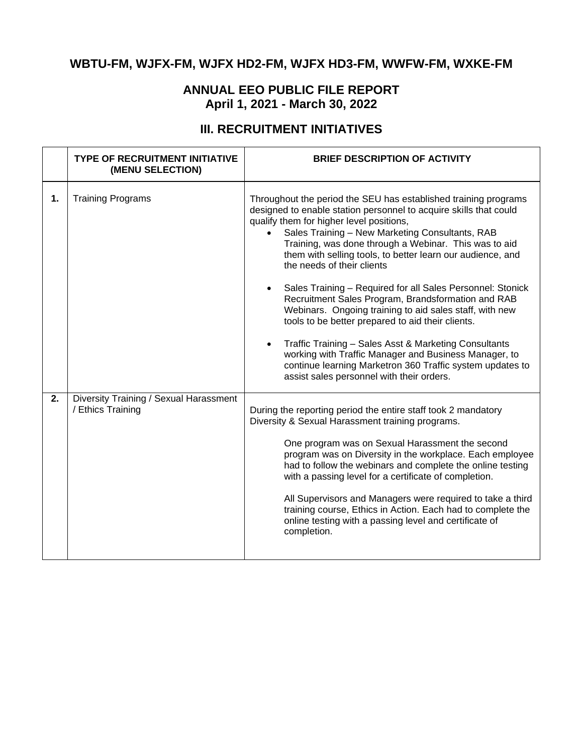# **WBTU-FM, WJFX-FM, WJFX HD2-FM, WJFX HD3-FM, WWFW-FM, WXKE-FM**

## **ANNUAL EEO PUBLIC FILE REPORT April 1, 2021 - March 30, 2022**

# **III. RECRUITMENT INITIATIVES**

|    | <b>TYPE OF RECRUITMENT INITIATIVE</b><br>(MENU SELECTION)   | <b>BRIEF DESCRIPTION OF ACTIVITY</b>                                                                                                                                                                                                                                                                                                                                                                                                                                                                                                                                                                                                                                                                                                                                                                                                                     |
|----|-------------------------------------------------------------|----------------------------------------------------------------------------------------------------------------------------------------------------------------------------------------------------------------------------------------------------------------------------------------------------------------------------------------------------------------------------------------------------------------------------------------------------------------------------------------------------------------------------------------------------------------------------------------------------------------------------------------------------------------------------------------------------------------------------------------------------------------------------------------------------------------------------------------------------------|
| 1. | <b>Training Programs</b>                                    | Throughout the period the SEU has established training programs<br>designed to enable station personnel to acquire skills that could<br>qualify them for higher level positions,<br>Sales Training - New Marketing Consultants, RAB<br>Training, was done through a Webinar. This was to aid<br>them with selling tools, to better learn our audience, and<br>the needs of their clients<br>Sales Training - Required for all Sales Personnel: Stonick<br>Recruitment Sales Program, Brandsformation and RAB<br>Webinars. Ongoing training to aid sales staff, with new<br>tools to be better prepared to aid their clients.<br>Traffic Training - Sales Asst & Marketing Consultants<br>working with Traffic Manager and Business Manager, to<br>continue learning Marketron 360 Traffic system updates to<br>assist sales personnel with their orders. |
| 2. | Diversity Training / Sexual Harassment<br>/ Ethics Training | During the reporting period the entire staff took 2 mandatory<br>Diversity & Sexual Harassment training programs.<br>One program was on Sexual Harassment the second<br>program was on Diversity in the workplace. Each employee<br>had to follow the webinars and complete the online testing<br>with a passing level for a certificate of completion.<br>All Supervisors and Managers were required to take a third<br>training course, Ethics in Action. Each had to complete the<br>online testing with a passing level and certificate of<br>completion.                                                                                                                                                                                                                                                                                            |